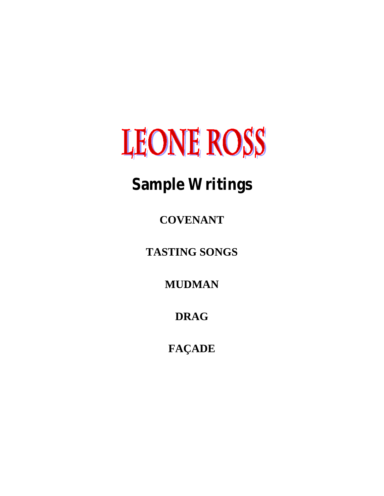

# **Sample Writings**

**COVENANT**

**TASTING SONGS**

**MUDMAN**

**DRAG**

**FAÇADE**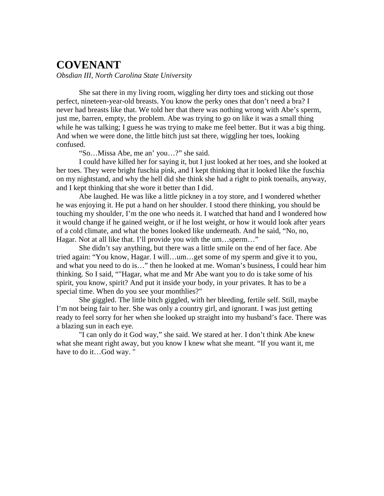### **COVENANT**

*Obsdian III, North Carolina State University*

She sat there in my living room, wiggling her dirty toes and sticking out those perfect, nineteen-year-old breasts. You know the perky ones that don't need a bra? I never had breasts like that. We told her that there was nothing wrong with Abe's sperm, just me, barren, empty, the problem. Abe was trying to go on like it was a small thing while he was talking; I guess he was trying to make me feel better. But it was a big thing. And when we were done, the little bitch just sat there, wiggling her toes, looking confused.

"So…Missa Abe, me an' you…?" she said.

I could have killed her for saying it, but I just looked at her toes, and she looked at her toes. They were bright fuschia pink, and I kept thinking that it looked like the fuschia on my nightstand, and why the hell did she think she had a right to pink toenails, anyway, and I kept thinking that she wore it better than I did.

Abe laughed. He was like a little pickney in a toy store, and I wondered whether he was enjoying it. He put a hand on her shoulder. I stood there thinking, you should be touching my shoulder, I'm the one who needs it. I watched that hand and I wondered how it would change if he gained weight, or if he lost weight, or how it would look after years of a cold climate, and what the bones looked like underneath. And he said, "No, no, Hagar. Not at all like that. I'll provide you with the um…sperm…"

She didn't say anything, but there was a little smile on the end of her face. Abe tried again: "You know, Hagar. I will…um…get some of my sperm and give it to you, and what you need to do is…" then he looked at me. Woman's business, I could hear him thinking. So I said, ""Hagar, what me and Mr Abe want you to do is take some of his spirit, you know, spirit? And put it inside your body, in your privates. It has to be a special time. When do you see your monthlies?"

She giggled. The little bitch giggled, with her bleeding, fertile self. Still, maybe I'm not being fair to her. She was only a country girl, and ignorant. I was just getting ready to feel sorry for her when she looked up straight into my husband's face. There was a blazing sun in each eye.

"I can only do it God way," she said. We stared at her. I don't think Abe knew what she meant right away, but you know I knew what she meant. "If you want it, me have to do it…God way. "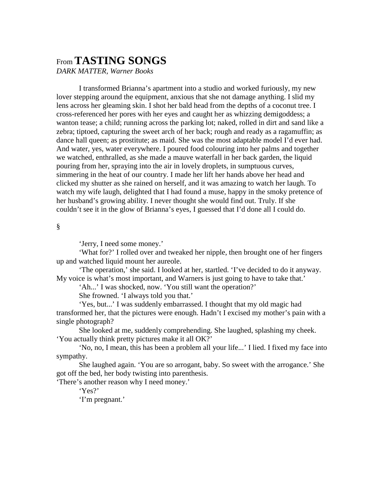## From **TASTING SONGS**

*DARK MATTER, Warner Books*

I transformed Brianna's apartment into a studio and worked furiously, my new lover stepping around the equipment, anxious that she not damage anything. I slid my lens across her gleaming skin. I shot her bald head from the depths of a coconut tree. I cross-referenced her pores with her eyes and caught her as whizzing demigoddess; a wanton tease; a child; running across the parking lot; naked, rolled in dirt and sand like a zebra; tiptoed, capturing the sweet arch of her back; rough and ready as a ragamuffin; as dance hall queen; as prostitute; as maid. She was the most adaptable model I'd ever had. And water, yes, water everywhere. I poured food colouring into her palms and together we watched, enthralled, as she made a mauve waterfall in her back garden, the liquid pouring from her, spraying into the air in lovely droplets, in sumptuous curves, simmering in the heat of our country. I made her lift her hands above her head and clicked my shutter as she rained on herself, and it was amazing to watch her laugh. To watch my wife laugh, delighted that I had found a muse, happy in the smoky pretence of her husband's growing ability. I never thought she would find out. Truly. If she couldn't see it in the glow of Brianna's eyes, I guessed that I'd done all I could do.

§

'Jerry, I need some money.'

'What for?' I rolled over and tweaked her nipple, then brought one of her fingers up and watched liquid mount her aureole.

'The operation,' she said. I looked at her, startled. 'I've decided to do it anyway. My voice is what's most important, and Warners is just going to have to take that.'

'Ah...' I was shocked, now. 'You still want the operation?'

She frowned. 'I always told you that.'

'Yes, but...' I was suddenly embarrassed. I thought that my old magic had transformed her, that the pictures were enough. Hadn't I excised my mother's pain with a single photograph?

She looked at me, suddenly comprehending. She laughed, splashing my cheek. 'You actually think pretty pictures make it all OK?'

'No, no, I mean, this has been a problem all your life...' I lied. I fixed my face into sympathy.

She laughed again. 'You are so arrogant, baby. So sweet with the arrogance.' She got off the bed, her body twisting into parenthesis.

'There's another reason why I need money.'

'Yes?'

'I'm pregnant.'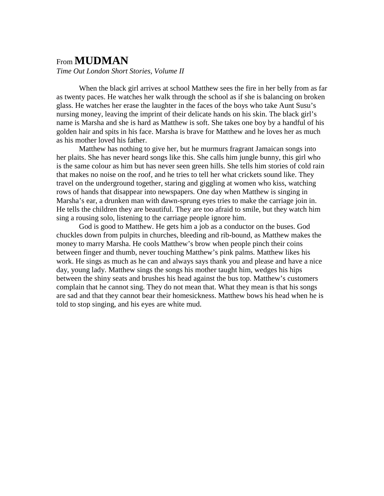#### From **MUDMAN**

*Time Out London Short Stories, Volume II*

When the black girl arrives at school Matthew sees the fire in her belly from as far as twenty paces. He watches her walk through the school as if she is balancing on broken glass. He watches her erase the laughter in the faces of the boys who take Aunt Susu's nursing money, leaving the imprint of their delicate hands on his skin. The black girl's name is Marsha and she is hard as Matthew is soft. She takes one boy by a handful of his golden hair and spits in his face. Marsha is brave for Matthew and he loves her as much as his mother loved his father.

Matthew has nothing to give her, but he murmurs fragrant Jamaican songs into her plaits. She has never heard songs like this. She calls him jungle bunny, this girl who is the same colour as him but has never seen green hills. She tells him stories of cold rain that makes no noise on the roof, and he tries to tell her what crickets sound like. They travel on the underground together, staring and giggling at women who kiss, watching rows of hands that disappear into newspapers. One day when Matthew is singing in Marsha's ear, a drunken man with dawn-sprung eyes tries to make the carriage join in. He tells the children they are beautiful. They are too afraid to smile, but they watch him sing a rousing solo, listening to the carriage people ignore him.

God is good to Matthew. He gets him a job as a conductor on the buses. God chuckles down from pulpits in churches, bleeding and rib-bound, as Matthew makes the money to marry Marsha. He cools Matthew's brow when people pinch their coins between finger and thumb, never touching Matthew's pink palms. Matthew likes his work. He sings as much as he can and always says thank you and please and have a nice day, young lady. Matthew sings the songs his mother taught him, wedges his hips between the shiny seats and brushes his head against the bus top. Matthew's customers complain that he cannot sing. They do not mean that. What they mean is that his songs are sad and that they cannot bear their homesickness. Matthew bows his head when he is told to stop singing, and his eyes are white mud.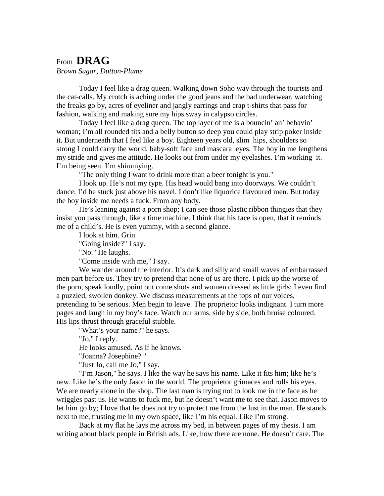#### From **DRAG**

*Brown Sugar, Dutton-Plume*

Today I feel like a drag queen. Walking down Soho way through the tourists and the cat-calls. My crotch is aching under the good jeans and the bad underwear, watching the freaks go by, acres of eyeliner and jangly earrings and crap t-shirts that pass for fashion, walking and making sure my hips sway in calypso circles.

Today I feel like a drag queen. The top layer of me is a bouncin' an' behavin' woman; I'm all rounded tits and a belly button so deep you could play strip poker inside it. But underneath that I feel like a boy. Eighteen years old, slim hips, shoulders so strong I could carry the world, baby-soft face and mascara eyes. The boy in me lengthens my stride and gives me attitude. He looks out from under my eyelashes. I'm working it. I'm being seen. I'm shimmying.

"The only thing I want to drink more than a beer tonight is you."

I look up. He's not my type. His head would bang into doorways. We couldn't dance; I'd be stuck just above his navel. I don't like liquorice flavoured men. But today the boy inside me needs a fuck. From any body.

He's leaning against a porn shop; I can see those plastic ribbon thingies that they insist you pass through, like a time machine. I think that his face is open, that it reminds me of a child's. He is even yummy, with a second glance.

I look at him. Grin. "Going inside?" I say. "No." He laughs. "Come inside with me," I say.

We wander around the interior. It's dark and silly and small waves of embarrassed men part before us. They try to pretend that none of us are there. I pick up the worse of the porn, speak loudly, point out come shots and women dressed as little girls; I even find a puzzled, swollen donkey. We discuss measurements at the tops of our voices, pretending to be serious. Men begin to leave. The proprietor looks indignant. I turn more pages and laugh in my boy's face. Watch our arms, side by side, both bruise coloured. His lips thrust through graceful stubble.

"What's your name?" he says.

"Jo," I reply.

He looks amused. As if he knows.

"Joanna? Josephine? "

"Just Jo, call me Jo," I say.

"I'm Jason," he says. I like the way he says his name. Like it fits him; like he's new. Like he's the only Jason in the world. The proprietor grimaces and rolls his eyes. We are nearly alone in the shop. The last man is trying not to look me in the face as he wriggles past us. He wants to fuck me, but he doesn't want me to see that. Jason moves to let him go by; I love that he does not try to protect me from the lust in the man. He stands next to me, trusting me in my own space, like I'm his equal. Like I'm strong.

Back at my flat he lays me across my bed, in between pages of my thesis. I am writing about black people in British ads. Like, how there are none. He doesn't care. The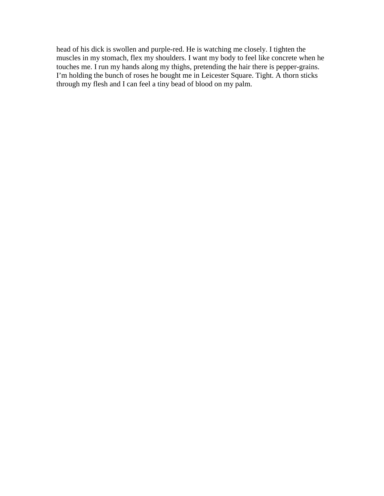head of his dick is swollen and purple-red. He is watching me closely. I tighten the muscles in my stomach, flex my shoulders. I want my body to feel like concrete when he touches me. I run my hands along my thighs, pretending the hair there is pepper-grains. I'm holding the bunch of roses he bought me in Leicester Square. Tight. A thorn sticks through my flesh and I can feel a tiny bead of blood on my palm.